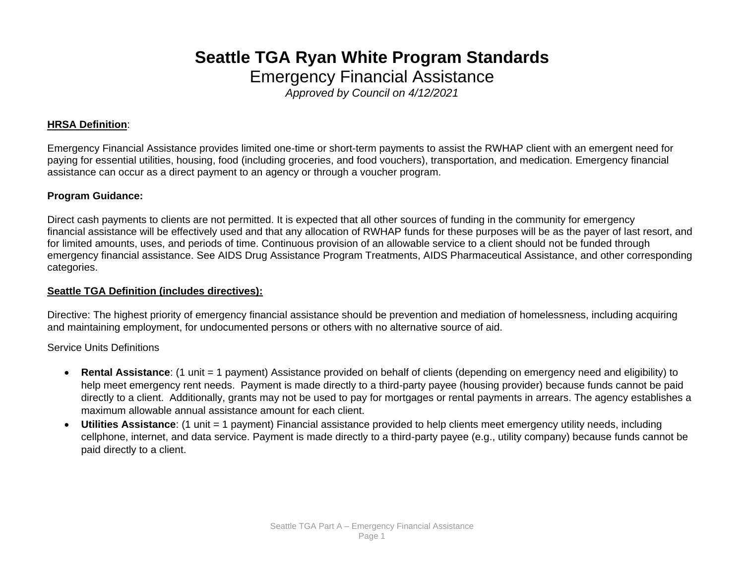# **Seattle TGA Ryan White Program Standards**

Emergency Financial Assistance

*Approved by Council on 4/12/2021*

#### **HRSA Definition**:

Emergency Financial Assistance provides limited one-time or short-term payments to assist the RWHAP client with an emergent need for paying for essential utilities, housing, food (including groceries, and food vouchers), transportation, and medication. Emergency financial assistance can occur as a direct payment to an agency or through a voucher program.

### **Program Guidance:**

Direct cash payments to clients are not permitted. It is expected that all other sources of funding in the community for emergency financial assistance will be effectively used and that any allocation of RWHAP funds for these purposes will be as the payer of last resort, and for limited amounts, uses, and periods of time. Continuous provision of an allowable service to a client should not be funded through emergency financial assistance. See AIDS Drug Assistance Program Treatments, AIDS Pharmaceutical Assistance, and other corresponding categories.

### **Seattle TGA Definition (includes directives):**

Directive: The highest priority of emergency financial assistance should be prevention and mediation of homelessness, including acquiring and maintaining employment, for undocumented persons or others with no alternative source of aid.

Service Units Definitions

- **Rental Assistance**: (1 unit = 1 payment) Assistance provided on behalf of clients (depending on emergency need and eligibility) to help meet emergency rent needs. Payment is made directly to a third-party payee (housing provider) because funds cannot be paid directly to a client. Additionally, grants may not be used to pay for mortgages or rental payments in arrears. The agency establishes a maximum allowable annual assistance amount for each client.
- **Utilities Assistance**: (1 unit = 1 payment) Financial assistance provided to help clients meet emergency utility needs, including cellphone, internet, and data service. Payment is made directly to a third-party payee (e.g., utility company) because funds cannot be paid directly to a client.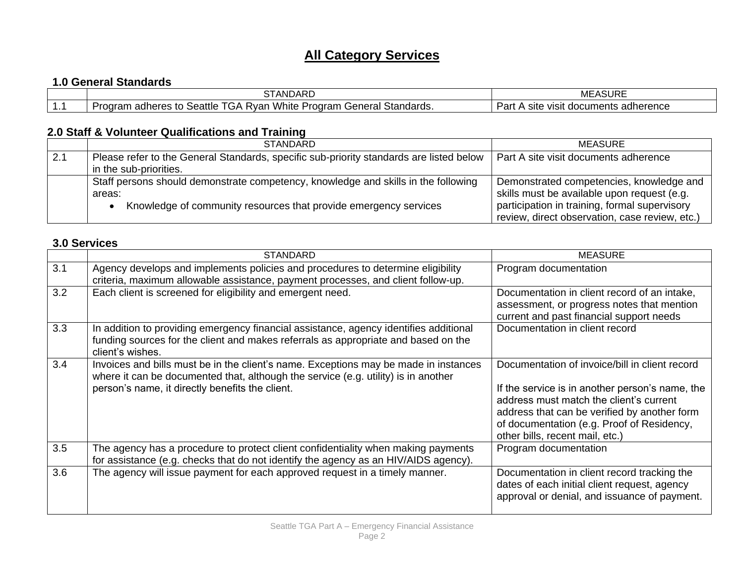## **All Category Services**

## **1.0 General Standards**

|   | $\uparrow$ TANDARL                                                                                                                                                           | <b>MEASURE</b>                                          |
|---|------------------------------------------------------------------------------------------------------------------------------------------------------------------------------|---------------------------------------------------------|
| . | -<br>$  -$<br>.<br>Seattle<br>∵tandards.<br>$'$ onoro $_1$<br>Program<br>.oaram<br>'Vhite<br>. .<br><b>Rvan</b><br>.GP<br>erres<br>icial<br>. <b>.</b><br>۱۵۱۰ ب<br>au.<br>v | レヘビ<br>herence<br>VISIt<br><b>Site</b><br>documer<br>аı |

## **2.0 Staff & Volunteer Qualifications and Training**

|     | <b>STANDARD</b>                                                                         | <b>MEASURE</b>                                 |
|-----|-----------------------------------------------------------------------------------------|------------------------------------------------|
| 2.1 | Please refer to the General Standards, specific sub-priority standards are listed below | Part A site visit documents adherence          |
|     | in the sub-priorities.                                                                  |                                                |
|     | Staff persons should demonstrate competency, knowledge and skills in the following      | Demonstrated competencies, knowledge and       |
|     | areas:                                                                                  | skills must be available upon request (e.g.    |
|     | Knowledge of community resources that provide emergency services                        | participation in training, formal supervisory  |
|     |                                                                                         | review, direct observation, case review, etc.) |

## **3.0 Services**

|     | <b>STANDARD</b>                                                                                                                                                                                                               | <b>MEASURE</b>                                                                                                                                                                                                                                                                |
|-----|-------------------------------------------------------------------------------------------------------------------------------------------------------------------------------------------------------------------------------|-------------------------------------------------------------------------------------------------------------------------------------------------------------------------------------------------------------------------------------------------------------------------------|
| 3.1 | Agency develops and implements policies and procedures to determine eligibility<br>criteria, maximum allowable assistance, payment processes, and client follow-up.                                                           | Program documentation                                                                                                                                                                                                                                                         |
| 3.2 | Each client is screened for eligibility and emergent need.                                                                                                                                                                    | Documentation in client record of an intake,<br>assessment, or progress notes that mention<br>current and past financial support needs                                                                                                                                        |
| 3.3 | In addition to providing emergency financial assistance, agency identifies additional<br>funding sources for the client and makes referrals as appropriate and based on the<br>client's wishes.                               | Documentation in client record                                                                                                                                                                                                                                                |
| 3.4 | Invoices and bills must be in the client's name. Exceptions may be made in instances<br>where it can be documented that, although the service (e.g. utility) is in another<br>person's name, it directly benefits the client. | Documentation of invoice/bill in client record<br>If the service is in another person's name, the<br>address must match the client's current<br>address that can be verified by another form<br>of documentation (e.g. Proof of Residency,<br>other bills, recent mail, etc.) |
| 3.5 | The agency has a procedure to protect client confidentiality when making payments<br>for assistance (e.g. checks that do not identify the agency as an HIV/AIDS agency).                                                      | Program documentation                                                                                                                                                                                                                                                         |
| 3.6 | The agency will issue payment for each approved request in a timely manner.                                                                                                                                                   | Documentation in client record tracking the<br>dates of each initial client request, agency<br>approval or denial, and issuance of payment.                                                                                                                                   |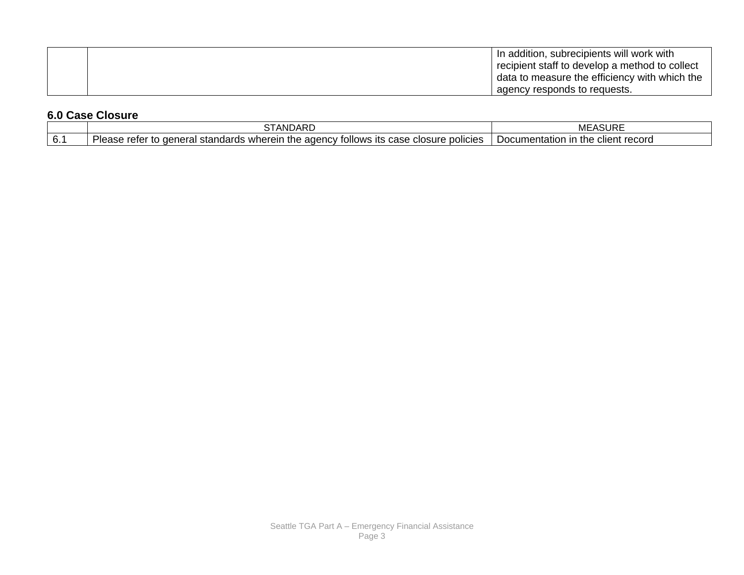|  | In addition, subrecipients will work with      |
|--|------------------------------------------------|
|  | recipient staff to develop a method to collect |
|  | data to measure the efficiency with which the  |
|  | agency responds to requests.                   |

## **6.0 Case Closure**

|                          | CTANINADD<br>ANDARL                                                                                                                                                           | ASURE<br>MEASI                           |
|--------------------------|-------------------------------------------------------------------------------------------------------------------------------------------------------------------------------|------------------------------------------|
| $\sim$<br>$\mathbf{b}$ . | $\sim$<br><br>- where د .<br>ollows its c<br>agency<br>case<br>neral standards<br>policies<br>no o<br>closure<br>the<br><b>PIC</b><br>. ae<br>10<br>וסוסו<br><b>Capc</b><br>. | client record<br>in the<br>Documentation |